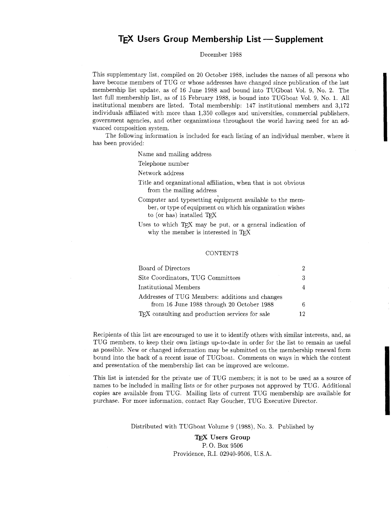# **TFX Users Group Membership List — Supplement**

December 1988

This supplementary list, compiled on 20 October 1988, includes the names of all persons who have become members of TUG or whose addresses have changed since publication of the last membership list update, as of 16 June 1988 and bound into TUGboat Vol. 9, No. 2. The last full membership list, as of 15 February 1988, is bound into TUGboat Vol. 9, No. 1. All institutional members are listed. Total membership: 147 institutional members and 3,172 individuals affiliated with more than 1,350 colleges and universities, commercial publishers, government agencies, and other organizations throughout the world having need for an advanced composition system.

The following information is included for each listing of an individual member, where it has been provided:

Name and mailing address

Telephone number

Network address

- Title and organizational affiliation, when that is not obvious from the mailing address
- Computer and typesetting equipment available to the member, or type of equipment on which his organization wishes to (or has) installed TFJ
- Uses to which  $T_F X$  may be put, or a general indication of why the member is interested in TFX

#### **CONTENTS**

| Board of Directors                                          |    |
|-------------------------------------------------------------|----|
| Site Coordinators, TUG Committees                           | 3  |
| Institutional Members                                       |    |
| Addresses of TUG Members: additions and changes             |    |
| from 16 June 1988 through 20 October 1988                   | 6  |
| T <sub>EX</sub> consulting and production services for sale | 12 |

Recipients of this list are encouraged to use it to identify others with similar interests, and, as TUG members, to keep their own listings up-to-date in order for the list to remain as useful as possible. New or changed information may be submitted on the membership renewal form bound into the back of a recent issue of TUGboat. Comments on ways in which the content and presentation of the membership list can be improved are welcome.

This list is intended for the private use of TUG members; it is not to be used as a source of names to be included in mailing lists or for other purposes not approved by TUG. Additional copies are available from TUG. Mailing lists of current TUG membership are available for purchase. For more information, contact Ray Goucher, TUG Executive Director.

Distributed with TUGboat Volume 9 (1988), No. **3.** Published by

TEX Users **Group**  P. 0. Box 9506 Providence, R.I. 02940-9506, U.S.A.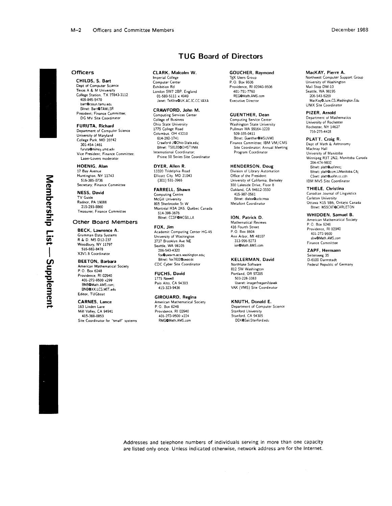# **TUG Board of Directors**

#### **Officers**

CHILDS, S. Bart Dept of Computer Science<br>Texas A & M University College Station, TX 77843-3112 409-845-5470 bart@cssun.tamu.edu Bitnet: Bart@TAMLSR President; Finance Committee; DG MV Site Coordinator

#### FURUTA, Richard

Department of Computer Science University of Maryland College Park, MD 20742 301-454-1461 furuta@mimsv.umd.edu Vice President; Finance Committee; Laser-Lovers moderator

#### **HOENIG. Alan**

17 Bay Avenue Huntington, NY 11743 516-385-0736 Secretary; Finance Committee

NESS, David TV Guide Radnor, PA 19088 215-293-8860 Treasurer; Finance Committee

#### Other Board Members

BECK, Lawrence A. Grumman Data Systems R & D, MS D12-237 Woodbury, NY 11797 516-682-8478 X3V1.8 Coordinator

#### **BEETON, Barbara**

American Mathematical Society<br>P. O. Box 6248 Providence, RI 02940 401-272-9500 x299 BNBOMath.AMS.com: BNBQXX.LCS.MIT.edu Editor, TUGboat

#### **CARNES, Lance**

163 Linden Lane Mill Valley, CA 94941 415-388-8853 Site Coordinator for "small" systems CLARK, Malcolm W. **Imperial College** 

Computer Center Exhibition Rd London SW7 2BP, England 01-589-5111 x 4949 Janet: TeXlineQUK.AC.IC.CC.VAXA

#### CRAWFORD, John M.

Computing Services Center College of Business Ohio State University 1775 College Road<br>Columbus, OH 43210 614-292-1741 Crawford-JOOhio-State.edu: Bitnet: TS0135QOHSTVMA International Coordinator; Prime 50 Series Site Coordinator

#### DYER. Allen R.

13320 Tridelphia Road Ellicott City, MD 21043  $(301) 531 - 3965$ 

FARRELL, Shawn Computing Centre McGill University Madin Shirston,<br>805 Sherbrooke St W<br>Montréal H3A 2K6, Québec Canada 514-398-3676 Bitnet: CCSFQMCGILLA

#### FOX. Jim

Academic Computing Center HG-45 University of Washington 3737 Brooklyn Ave NE Seattle, WA 98105 206-543-4320 fox@uwavm.acs.washington.edu; Bitnet: fox7632Quwacdc CDC Cyber Site Coordinator

#### **FUCHS, David** 1775 Newell

Palo Alto, CA 94303 415-323-9436

#### GIROUARD, Regina

American Mathematical Society P.O. Box 6248 Providence, RI 02940 RMGOMath.AMS.com

#### **GOUCHER, Raymond** TEX Users Group P.O. Box 9506 Providence, RI 02940-9506 401-751-7760 REGOMath.AMS.com **Executive Director**

### **GUENTHER, Dean**

Computing Service Center Washington State University Pullman WA 99164-1220 509-335-0411 Bitnet: Guenther@WSUVM1 Finance Committee; IBM VM/CMS Site Coordinator: Annual Meeting Program Coordinator

### **HENDERSON, Doug**

Division of Library Automation Office of the President University of California, Berkeley 300 Lakeside Drive, Floor 8 Oakland, CA 94612-3550 415-987-0561 Bitnet: dlatex@ucbcmsa Metafont Coordinator

ION, Patrick D. Mathematical Reviews 416 Fourth Street P.O. Box 8604 Ann Arbor, MI 48107 313-996-5273 ion@Math.AMS.com

#### **KELLERMAN, David**

Northlake Software<br>812 SW Washington Portland, OR 97205 503-228-3383 Usenet: imagen!negami!davek VAX (VMS) Site Coordinator

#### KNUTH, Donald E. Department of Computer Science Stanford University Stanford, CA 94305 DEK@Sail.Stanford.edu

MacKAY, Pierre A. Northwest Computer Support Group University of Washington<br>Mail Stop DW-10 Seattle, WA 98195 206-543-6259 MacKayQ June.CS. Washington.Edu UNIX Site Coordinator

#### PIZER, Arnold Department of Mathematics University of Rochester Rochester, NY 14627 716-275-4428

PLATT, Craig R. Dept of Math & Astronomy Machray Hall University of Manitoba Winnipeg R3T 2N2, Manitoba Canada 204-474-9832 Bitnet: platt@uofmcc; Bitnet: platt@ccm.UManitoba.CA; CSnet: platt@uofm.cc.cdn IBM MVS Site Coordinator

THIELE, Christina Canadian Journal of Linguistics Carleton University<br>Ottawa K1S 5B6, Ontario Canada Bitnet: WSSCATOCARLETON

WHIDDEN, Samuel B. American Mathematical Society P.O. Box 6248 Providence, RI 02940 401-272-9500 sbw@Math.AMS.com Finance Committee

ZAPF, Hermann Seitersweg 35 D-6100 Darmstadt Federal Republic of Germany

Membership List — Supplement

Addresses and telephone numbers of individuals serving in more than one capacity are listed only once. Unless indicated otherwise, network address are for the Internet.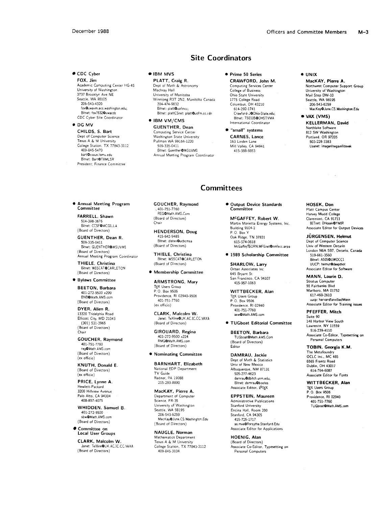# **Site Coordinators**

**Committees** 

● CDC Cyber ● IBM MVS **FOX, Jim PLATT, Craig R.**<br>Academic Computing Center HG-45 **Dept of Math & Astro** University of Washington<br>3737 Brooklyn Ave NE Constite, WA 98105<br>
206-543-4320<br>
206-543-4320<br>
204-474-9832<br>
204-474-9832<br>
201-474-9832<br>
201-474-9832<br>
201-474-9832<br>
201-474-9832 fox**Q**uwavm.acs.washington.edu;<br>Bitnet: fox7632Quwacdc CDC Cyber Site Coordinator

**CHILDS, S. Bart** Computing Service Center<br>
Dept of Computer Science **Computing Computing Computer Sexis A & M** University Pullman WA 99164-1220 Dept of Computer Scfence Wash~ngton State Untvers~ty Texas A & M Unwers~ty Pullman WA 99164-1220 College Station. TX 77843-3112 509-335-0411<br>409-845-5470 509-335-0411 409-845-5470 Sitnet. GuentherOWSUVMl Bitnet: BartOTAMLSR President: Finance Committee

Dept of Math & Astronomy<br>Machray Hall University of Manitoba Winnipeg R3T 2N2, Manitoba Canada<br>204-474-9832 Bitnet: plattCSnet: platt@uofm.cc.cdn

# **IBM VM/CMS DG MV GUENTHER, Dean CHILDS, S. Bart GUENTHER, Dean**

Annual Meeting Program Coordinator

## **0 Prime 50 Series**

**CRAWFORD. John M.**  Computmg Sew~ces Center College of Business Ohio State University 1775 College Road Columbus, OH 43210 614-292-1741 Bitnet: TS0135QOHSTVMA International Coordinator

**"small" systems CARNES, Lance**  163 Linden Lane Mill Valley. CA 94941 415-388-8853

#### **0 UNlX**

**MacKAY, Pierre A.**  Vorthwest Computer Support Group<br>Jniversity of Washington Mail Stop DW-10 Seattle. WA 98195 206-543-6259 MacKay**Q** June.CS. Washington.Edu

**VAX (VMS) KELLERMAN. David**  Northlake Software 812 SW Washington Portland, OR 97205 503-2283383 Usenet: imagen!negami!davek

**Annual Meeting Program Committee** 

**FARRELL. Shawn**  514-398-3676<br>Bitnet: CCSF**Q**MCGILLA (Board of Directors)

**GUENTHER, Dean R.**  509-335-0411 Bitnet: GUENTHEROWSUVM1 (Board of Directors)

Annual Meeting Program Coordinator **THIELE, Christina**  Bitnet: WSSCATOCARLETON (Board of Directors)

#### **0 Bylaws Committee**

**BEETON. Barbara**  401-272-9500 x299 BNBOMath.AMS.com (Board of Directors)

**DYER. Allen R.**  13320 Tridelphia Road Ellicott City, MD 21043 (301) 531-3965 (Board of Directors) Chair

**GOUCHER, Raymond**  401-751-7760 regQMath.AMS.com (Board of Directors)

 $(\mathsf{ex} \circ \mathsf{fficio})$ **KNUTH, Donald E.**  (Board of Directors)  $(ex of ficio)$ 

**PRICE. Lynne A.**  Hewlett-Packard 3200 Hillview Avenue Palo Alto. CA 94304 408-857-4075

**WHIDDEN. Samuel B.**  401-272-9500 sbwOMath.AMS.com (Board of Directors)

**Committee on Local User Groups** 

**CLARK, Malcolm W.**  Janet: TeXlineOUK.AC.IC.CC.VAXA (Board of Directors)

,401-751-7760 **Committee**  REGQMath AMS.Com

**HENDERSON, Doug**  415-642-9485 Bitnet: dlatexOucbcmsa (Board of Directors)

**THIELE. Christina**  Bitnet: WSSCATOCARLETON (Board of Directors)

**0 Membership Committee** 

**ARMSTRONG. Mary**  IEX Users Group<br>P. O. Box 9506 Providence, RI 02940-9506 401-751-7760 (ex officio)

**CLARK. Malcolm W.**  Janet. **TeXlineQUK.AC.IC.CC.VAXA**  (Board of Directors)

**GIROUARD, Regina**  401-272-9500 x224 RMGQMath.AMS.com (Board of Directors)

#### **0 Nominating Committee**

**BARNHART. Elizabeth**  National EDP Department TV Guide Radnor, PA 19088 215-293-8890

# **MacKAY, Pierre A.**

Department of Computer Science. FR-35 University of Washington Seattle. WA 98195 206-543-6259 MacKayQJune.CS.Washington.Edu (Board of Directors)

**NAUGLE. Norman**  Mathematics Department Texas A & M University College Station, TX 77843-3112 409-845-3104

**GOUCHER, Raymond COUCHER, Raymond** Output Device Standards

(Board of Drrectors) **MCGAFFEY. Robert W.**  Chair Marietta Energy Systems, Inc.<br>
Martin Marietta Energy Systems, Inc. Building 9104-2 P.O. Box Y Oak Ridge, TN 37831 615-574-0618

McGaffey%ORN.MFEnetOnmiecc.arpa **0 1989 Scholarship Committee** 

**SHARLOW, Larry**  Orban Associates Inc 645 Bryant St San Francisco, CA 94107 415-957-1063

**WITTBECKER. Alan** 

TEX Users Group P.O. Box 9506 Providence, RI 02940<br>401-751-7760 aew@Math.AMS.com

**0 TUGboat Editorial Committee** 

**BEETON, Barbara**  TUGboat@Math.AMS.Com (Board of Directors) Editor

**DAMRAU, Jackie** 

Dept of Math & Statistics Univ of New Mexico Albuquerque, NM 87131<br>505-277-4623 damrau@dbitch.unm.edu; Bitnet: damrau@bootes Associate Editor, LATEX

**EPPSTEIN, Maureen**  Administrative Publications Stanford University Encina Hall, Room 200 Stanford, CA 94305 415-725-1717 **as.mveOFmsythe.Staniord.Edu**  Assoctate Editor for Applications

**HOENIG. Alan**  (Board of Directors) Associate Co-Editor, Typesetting on Personal Computers

**HOSEK. Don**  Platt Campus Center Harvey Mudd College Claremont, CA 91711 BITnet: DHosekOYMIR Assoc~ate Editor for Output **Devices** 

**JGRGENSEN. Helmut**  Dept of Computer Science **Unw** of Wetern Ontario London N6A 587, Ontario. Canada 519-661-3560 Bitnet: A505QUWOCC1

UUCP: helmut@deepthot Associate Editor for Software

**MANN, Laurie 0.**  Stratus Computer 55 Fairbanks Blvd Marlboro. MA 01752 617-460-2610 uucp: harvard!anvil!es!Mann Associate Editor for Training issues

**PFEFFER, Mitch** 

Sulte 90 148 Harbor View South Lawrence. NY 11559 516-239-4110 Associate Co-Editor, Typesetting on Personal Computes

**TOBIN. Georgia K.M.**  The Metafoundry OCLC Inc.. MC 485 6565 Frantz Road Dublin. OH 43017 614-764-6087 Associate Editor for Fonts

**WITTBECKER. Alan**  TEX Users Group P. 0. Box 9506

Providence, RI 02940 401-751-7760 TUGboatOMath.AMS.com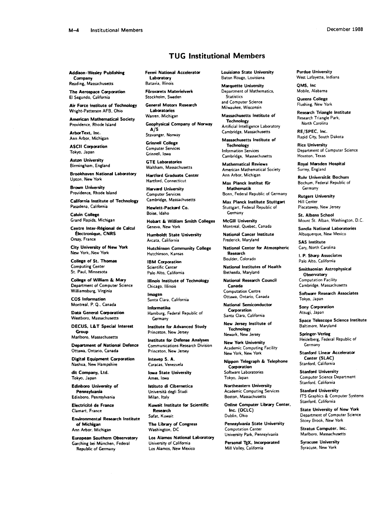# **TUG Institutional Members**

Addison -Wesley Publishing Company Reading. Massachusetts

The Aerospace Corporation El Segundo. California

Air Force Institute of Technology Wright-Patterson AFB. Ohio

American Mathematical Society Providence. Rhode Island

ArborText, tnc. Ann Arbor, Michigan

**ASCII Corporation** Tokyo, Japan

Aston University Birmingham. England

Brookhaven National Laboratory Upton. New York

Brown University Providence, Rhode lsland

California lnstitute of Technology Pasadena, California

**Calvin College** Grand Rapids, Michigan

**Centre Inter-Régional de Calcul ~lectronique,** CNRS Orsay, France

City University of New York New York. ,New York

College of St. Thomas Computing Center St. Paul, Minnesota

College of William & Mary Department of Computer Science Wiltiamsburg, Virginia

COS lnfonnation Montreal. **P.** Q., Canada

**Data General Corporation** Wesfboro, Massachusetts

DECUS. L&T Special Interest Group Marlboro, Massachusetts

**Department of National Defence** Ottawa, Ontario. Canada

Digital Equipment Corporation Nashua, New Hampshire

dit Company, Ltd. Tokyo, Japan

Edinbao University of Pennsylvania Edinboro, Pennsylvania

Electticite de France Clamart. France

Environmental Reseach lnstitute of Michigan Ann Arbor, Michigan

European Southern Observatory Garching bei Munchen, Federal

Fenni National Accelerator Laboratory Batavia, Illinois

Försvarets Materielverk Stockholm. Sweden

General Motors Reseach Laboratories Warren, .Michigan

Geophysical Company of Norway<br>A/S A/S Stavanger, Norway

**Grinnell College** Computer Services Grinnell, lowa

GTE Laboratories Waltham, Massachusetts

**Hartford Graduate Center** Hartford, Connecticut

Havad University Computer Services Cambridge, Massachusetts

Hewlett-Packad Co. Boise, Idaho

Hobart & William Smith Colleges Geneva, New York

Humbddt State University Arcata. California

Hutchinson Community College Hutchinson. Kansas

IBM Corporation Scientific Center Palo Alto. California

Illinois lnstitute of Technology Chicago, Illinois

lrnagen Santa Clara. California

Informatika Hamburg, Federal Republic of Germany

Institute for Advanced Study Princeton, New jersey

lnstitute for Defense Analyses Communications Research Division Princeton. New Jersey

lntevep S. A. Caracas, Venezuela

lowa State University Ames, lowa

lstituto di Cibernetica Università degli Studi Milan, Italy

Kuwait lnstitute for Scientific Research Safat. Kuwait

The Library of Congress Washington, DC

Los Alamos National Laboratory University of California Los Alamos, New Mexico

Louisiana State University Baton Rouge, Louisiana

Maquette University Department of Mathematics, **Statistics** and Computer Science

Milwaukee, Wisconsin Massachusetts lnstitute of Technology

Artificial Intelligence Laboratory Cambridge, Massachusetts Massachusetts lnstitute of

**Technology** Information Services Cambridge. Massachusetts

Mathematical Reviews American Mathematical Society Ann Arbor, Michigan

Max Planck lnstitut fir Mathematik

Bonn, Federal Republic of Germany Max Planck lnstitute Stuttgart

Stuttgart, Federal Republic of Germany

McGill University Montreal, Quebec, Canada

National Cancer lnstitute Frederick. Maryland

National Center for Atmospheric Research

Boulder, Colorado National Institutes of Health

Bethesda, Maryland

National Research Council Canada Computation Centre

Ottawa, Ontario. Canada National Semiconducta

Corporation Santa Clara. California

New Jersey Institute of Technology

Newark, New Jersey New York University Academic Computing Facility New York, New York

Nippon Telegraph & Telephone Corporation Software Laboratories Tokyo. Japan

Northeastern University Academic Computing Services Boston, Massachusetts

Online Computer Libray Center. Inc. (OCLC) Dublin. Ohio

Pennsylvania State University Computation Center University Park, Pennsylvania

Personal TEX, Incorporated Mill Valley, California

Purdue University West Lafayette, Indiana QMS. Inc

Mobile. Alabama

Queens College Flushing, New York

Reseach Triangle lnstitute Research Triangle Park. North Carolina

REJSPEC. Inc. Rapid City, South Dakota

Rice University Department of Computer Science Houston, Texas

Royal Masden Hospital Surrey, England

Ruhr Universität Bochum Bochum, Federal Republic of Germany

Rutgers University Hill Center Piscataway, New Jersey

St. Albans School Mount St. Alban. Washington. D.C.

Sandia National Laboratories Albuquerque, New Mexico

SAS lnstitute Cary, North Carolina

I. P. Sharp Associates Palo Alto, California

Smithsonian Astrophysical Observatory Computation Facility

Cambridge, Massachusetts Software Reseach Associates

Tokyo. Japan

Sony Corporation Atsugi, Japan

Space Telescope Science lnstitute Baltimore, Maryland

Springer-Verlag Heidelberg, Federal Republic of Germany

**Stanford Linear Accelerator** Center (SLAC) Stanford. California

**Stanford University** Computer Science Department Stanford, California

Stanford University ITS Graphics & Computer Systems Stanford. California

State University of New York Department of Computer Science Stony Brook, New York

Stratus Computer. Inc. Marlboro. Massachusetts Syracuse University

Syracuse. New York